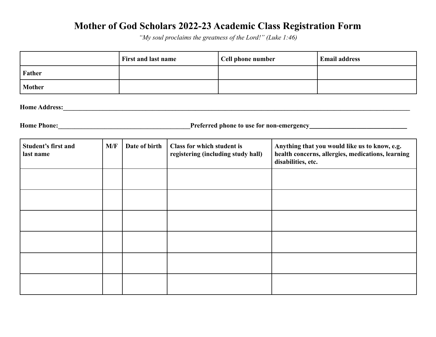## **Mother of God Scholars 2022-23 Academic Class Registration Form**

*"My soul proclaims the greatness of the Lord!" (Luke 1:46)*

|                                                                                                                                                                                                                                |     | <b>First and last name</b> |                                                                         | Cell phone number |                                                                                                                          | <b>Email address</b> |
|--------------------------------------------------------------------------------------------------------------------------------------------------------------------------------------------------------------------------------|-----|----------------------------|-------------------------------------------------------------------------|-------------------|--------------------------------------------------------------------------------------------------------------------------|----------------------|
| <b>Father</b>                                                                                                                                                                                                                  |     |                            |                                                                         |                   |                                                                                                                          |                      |
| <b>Mother</b>                                                                                                                                                                                                                  |     |                            |                                                                         |                   |                                                                                                                          |                      |
| Home Address: No. 1996. The Contract of the Contract of the Contract of the Contract of the Contract of the Contract of the Contract of the Contract of the Contract of the Contract of the Contract of the Contract of the Co |     |                            |                                                                         |                   |                                                                                                                          |                      |
|                                                                                                                                                                                                                                |     |                            |                                                                         |                   |                                                                                                                          |                      |
| <b>Student's first and</b><br>last name                                                                                                                                                                                        | M/F | Date of birth              | <b>Class for which student is</b><br>registering (including study hall) |                   | Anything that you would like us to know, e.g.<br>health concerns, allergies, medications, learning<br>disabilities, etc. |                      |
|                                                                                                                                                                                                                                |     |                            |                                                                         |                   |                                                                                                                          |                      |
|                                                                                                                                                                                                                                |     |                            |                                                                         |                   |                                                                                                                          |                      |
|                                                                                                                                                                                                                                |     |                            |                                                                         |                   |                                                                                                                          |                      |
|                                                                                                                                                                                                                                |     |                            |                                                                         |                   |                                                                                                                          |                      |
|                                                                                                                                                                                                                                |     |                            |                                                                         |                   |                                                                                                                          |                      |
|                                                                                                                                                                                                                                |     |                            |                                                                         |                   |                                                                                                                          |                      |